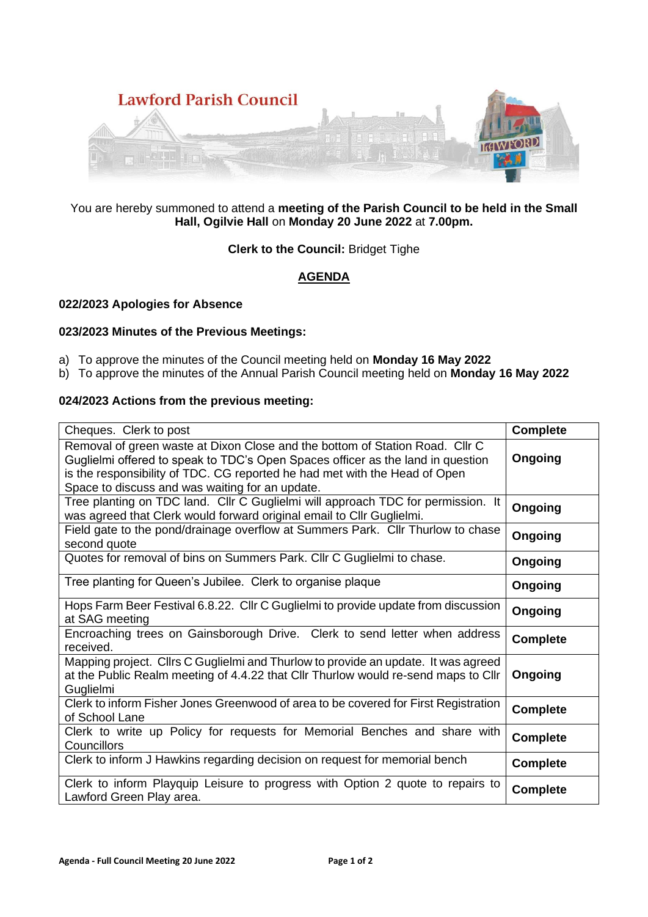

# You are hereby summoned to attend a **meeting of the Parish Council to be held in the Small Hall, Ogilvie Hall** on **Monday 20 June 2022** at **7.00pm.**

# **Clerk to the Council:** Bridget Tighe

# **AGENDA**

# **022/2023 Apologies for Absence**

# **023/2023 Minutes of the Previous Meetings:**

- a) To approve the minutes of the Council meeting held on **Monday 16 May 2022**
- b) To approve the minutes of the Annual Parish Council meeting held on **Monday 16 May 2022**

# **024/2023 Actions from the previous meeting:**

| Cheques. Clerk to post                                                                                                                                                                                                                                                                           | <b>Complete</b> |
|--------------------------------------------------------------------------------------------------------------------------------------------------------------------------------------------------------------------------------------------------------------------------------------------------|-----------------|
| Removal of green waste at Dixon Close and the bottom of Station Road. Cllr C<br>Guglielmi offered to speak to TDC's Open Spaces officer as the land in question<br>is the responsibility of TDC. CG reported he had met with the Head of Open<br>Space to discuss and was waiting for an update. | <b>Ongoing</b>  |
| Tree planting on TDC land. Cllr C Guglielmi will approach TDC for permission. It<br>was agreed that Clerk would forward original email to Cllr Guglielmi.                                                                                                                                        | Ongoing         |
| Field gate to the pond/drainage overflow at Summers Park. Cllr Thurlow to chase<br>second quote                                                                                                                                                                                                  | Ongoing         |
| Quotes for removal of bins on Summers Park. Cllr C Guglielmi to chase.                                                                                                                                                                                                                           | Ongoing         |
| Tree planting for Queen's Jubilee. Clerk to organise plaque                                                                                                                                                                                                                                      | <b>Ongoing</b>  |
| Hops Farm Beer Festival 6.8.22. Cllr C Guglielmi to provide update from discussion<br>at SAG meeting                                                                                                                                                                                             | <b>Ongoing</b>  |
| Encroaching trees on Gainsborough Drive. Clerk to send letter when address<br>received.                                                                                                                                                                                                          | <b>Complete</b> |
| Mapping project. Cllrs C Guglielmi and Thurlow to provide an update. It was agreed<br>at the Public Realm meeting of 4.4.22 that Cllr Thurlow would re-send maps to Cllr<br>Guglielmi                                                                                                            | Ongoing         |
| Clerk to inform Fisher Jones Greenwood of area to be covered for First Registration<br>of School Lane                                                                                                                                                                                            | <b>Complete</b> |
| Clerk to write up Policy for requests for Memorial Benches and share with<br>Councillors                                                                                                                                                                                                         | <b>Complete</b> |
| Clerk to inform J Hawkins regarding decision on request for memorial bench                                                                                                                                                                                                                       | <b>Complete</b> |
| Clerk to inform Playquip Leisure to progress with Option 2 quote to repairs to<br>Lawford Green Play area.                                                                                                                                                                                       | <b>Complete</b> |